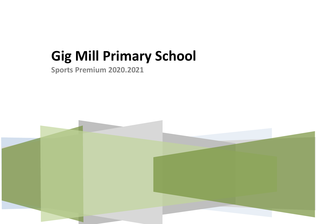## **Gig Mill Primary School**

**Sports Premium 2020.2021**

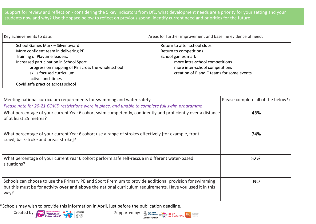Support for review and reflection - considering the 5 key indicators from DfE, what development needs are a priority for your setting and your students now and why? Use the space below to reflect on previous spend, identify current need and priorities for the future.

| Key achievements to date:                         | Areas for further improvement and baseline evidence of need: |
|---------------------------------------------------|--------------------------------------------------------------|
| School Games Mark - Silver award                  | Return to after-school clubs                                 |
| More confident team in delivering PE              | Return to competitions                                       |
| Training of Playtime leaders.                     | School games mark                                            |
| Increased participation in School Sport           | more intra-school competitions                               |
| progression mapping of PE across the whole school | more inter-school competitions                               |
| skills focused curriculum                         | creation of B and C teams for some events                    |
| active lunchtimes                                 |                                                              |
| Covid safe practice across school                 |                                                              |

| Meeting national curriculum requirements for swimming and water safety<br>Please note for 20-21 COVID restrictions were in place, and unable to complete full swim programme                                                   | Please complete all of the below*: |
|--------------------------------------------------------------------------------------------------------------------------------------------------------------------------------------------------------------------------------|------------------------------------|
| What percentage of your current Year 6 cohort swim competently, confidently and proficiently over a distance<br>of at least 25 metres?                                                                                         | 46%                                |
| What percentage of your current Year 6 cohort use a range of strokes effectively [for example, front<br>crawl, backstroke and breaststroke]?                                                                                   | 74%                                |
| What percentage of your current Year 6 cohort perform safe self-rescue in different water-based<br>situations?                                                                                                                 | 52%                                |
| Schools can choose to use the Primary PE and Sport Premium to provide additional provision for swimming<br>but this must be for activity over and above the national curriculum requirements. Have you used it in this<br>way? | NO.                                |

\*Schools may wish to provide this information in April, just before the publication deadline.



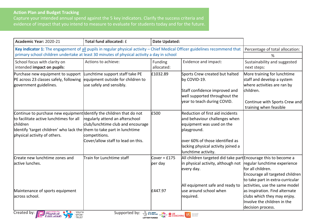## **Action Plan and Budget Tracking**

Capture your intended annual spend against the 5 key indicators. Clarify the success criteria and evidence of impact that you intend to measure to evaluate for students today and for the future.

| Academic Year: 2020-21                                                                                                                                                                                                              | Total fund allocated: £                                                                                                     | <b>Date Updated:</b>                                                                                                       |                                                                                                                                                                                                                |                                                                                                                                                                  |
|-------------------------------------------------------------------------------------------------------------------------------------------------------------------------------------------------------------------------------------|-----------------------------------------------------------------------------------------------------------------------------|----------------------------------------------------------------------------------------------------------------------------|----------------------------------------------------------------------------------------------------------------------------------------------------------------------------------------------------------------|------------------------------------------------------------------------------------------------------------------------------------------------------------------|
| Key indicator 1: The engagement of all pupils in regular physical activity - Chief Medical Officer guidelines recommend that                                                                                                        |                                                                                                                             |                                                                                                                            |                                                                                                                                                                                                                | Percentage of total allocation:                                                                                                                                  |
| primary school children undertake at least 30 minutes of physical activity a day in school                                                                                                                                          |                                                                                                                             |                                                                                                                            | %                                                                                                                                                                                                              |                                                                                                                                                                  |
| School focus with clarity on<br>intended impact on pupils:                                                                                                                                                                          | Actions to achieve:                                                                                                         | Funding<br>allocated:                                                                                                      | Evidence and impact:                                                                                                                                                                                           | Sustainability and suggested<br>next steps:                                                                                                                      |
| Purchase new equipment to support<br>PE across 23 classes safely, following<br>government guidelines.                                                                                                                               | Lunchtime support staff take PE<br>equipment outside for children to<br>use safely and sensibly.                            | £1032.89                                                                                                                   | Sports Crew created but halted<br>by COVID-19.<br>Staff confidence improved and<br>well supported throughout the<br>year to teach during COVID.                                                                | More training for lunchtime<br>staff and develop a system<br>where activities are ran by<br>children.<br>Continue with Sports Crew and<br>training when feasible |
| Continue to purchase new equipment dentify the children that do not<br>to facilitate active lunchtimes for all<br>children<br>dentify 'target children' who lack the them to take part in lunchtime<br>physical activity of others. | regularly attend an afterschool<br>club/lunchtime club and encourage<br>competitions.<br>Cover/allow staff to lead on this. | £500                                                                                                                       | Reduction of first aid incidents<br>and behaviour challenges when<br>equipment was used on the<br>playground.<br>lover 60% of those identified as<br>lacking physical activity joined a<br>lunchtime activity. |                                                                                                                                                                  |
| Create new lunchtime zones and<br>lactive lunches.                                                                                                                                                                                  | Train for Lunchtime staff                                                                                                   | $Cover = £175$<br>per day<br>£447.97                                                                                       | All children targeted did take part Encourage this to become a<br>in physical activity, although not<br>every day.<br>All equipment safe and ready to<br>use around school when                                | regular lunchtime experience<br>lfor all children.<br>Encourage all targeted children<br>to take part in extra-curricular<br>activities, use the same model      |
| Maintenance of sports equipment<br>lacross school.<br>Created by:<br>YOUT⊦<br><i>Physical</i><br>Education<br>SPORT                                                                                                                 | Supported by:                                                                                                               | <b>EXECUTE OF SPORT CONCEPTING CONCEPTING CONCEPTING CONCEPTING CONCEPTING CONCEPTING CONCEPTING CONCEPTING CONCEPTING</b> | required.                                                                                                                                                                                                      | as inspiration. Find alternate<br>clubs which they may enjoy.<br>llnvolve the children in the<br>decision process.                                               |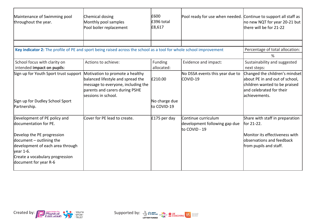| Maintenance of Swimming pool<br>throughout the year.                                                               | Chemical dosing<br>Monthly pool samples<br>Pool boiler replacement                                                               | £600<br>£396 total<br>£8,617 | Pool ready for use when needed. Continue to support all staff as       | no new NQT for year 20-21 but<br>there will be for 21-22                                                                                        |
|--------------------------------------------------------------------------------------------------------------------|----------------------------------------------------------------------------------------------------------------------------------|------------------------------|------------------------------------------------------------------------|-------------------------------------------------------------------------------------------------------------------------------------------------|
|                                                                                                                    |                                                                                                                                  |                              |                                                                        |                                                                                                                                                 |
| Key indicator 2: The profile of PE and sport being raised across the school as a tool for whole school improvement |                                                                                                                                  |                              |                                                                        | Percentage of total allocation:                                                                                                                 |
|                                                                                                                    |                                                                                                                                  |                              |                                                                        | %                                                                                                                                               |
| School focus with clarity on<br>intended impact on pupils:                                                         | Actions to achieve:                                                                                                              | Funding<br>allocated:        | Evidence and impact:                                                   | Sustainability and suggested<br>next steps:                                                                                                     |
| Sign up for Youth Sport trust support Motivation to promote a healthy<br>Sign up for Dudley School Sport           | balanced lifestyle and spread the<br>message to everyone, including the<br>parents and carers during PSHE<br>sessions in school. | £210.00<br>No charge due     | No DSSA events this year due to<br>COVID-19                            | Changed the children's mindset<br>about PE in and out of school,<br>children wanted to be praised<br>land celebrated for their<br>achievements. |
| Partnership.                                                                                                       |                                                                                                                                  | to COVID-19                  |                                                                        |                                                                                                                                                 |
| Development of PE policy and<br>documentation for PE.                                                              | Cover for PE lead to create.                                                                                                     | $£175$ per day               | Continue curriculum<br>development following gap due<br>lto COVID - 19 | Share with staff in preparation<br>for 21-22.                                                                                                   |
| Develop the PE progression<br>document $-$ outlining the<br>development of each area through<br>vear 1-6.          |                                                                                                                                  |                              |                                                                        | Monitor its effectiveness with<br>lobservations and feedback<br>from pupils and staff.                                                          |
| Create a vocabulary progression<br>document for year R-6                                                           |                                                                                                                                  |                              |                                                                        |                                                                                                                                                 |



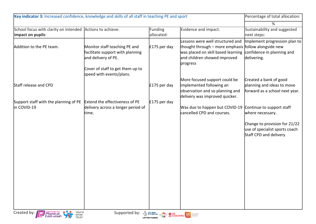| Key indicator 3: Increased confidence, knowledge and skills of all staff in teaching PE and sport |                                                                                          |                                                                               | Percentage of total allocation:                                                                                                                                                                       |                                                                                           |
|---------------------------------------------------------------------------------------------------|------------------------------------------------------------------------------------------|-------------------------------------------------------------------------------|-------------------------------------------------------------------------------------------------------------------------------------------------------------------------------------------------------|-------------------------------------------------------------------------------------------|
|                                                                                                   |                                                                                          |                                                                               |                                                                                                                                                                                                       | %                                                                                         |
| School focus with clarity on intended Actions to achieve:<br>impact on pupils:                    |                                                                                          | Funding<br>allocated:                                                         | Evidence and impact:                                                                                                                                                                                  | Sustainability and suggested<br>next steps:                                               |
| Addition to the PE team.                                                                          | Monitor staff teaching PE and<br>facilitate support with planning<br>and delivery of PE. | $£175$ per day                                                                | Lessons were well structured and<br>thought through - more emphasis follow alongside new<br>was placed on skill based learning confidence in planning and<br>and children showed improved<br>progress | Implement progression plan to<br>delivering.                                              |
|                                                                                                   | Cover of staff to get them up to<br>speed with events/plans.                             |                                                                               |                                                                                                                                                                                                       |                                                                                           |
| Staff release and CPD                                                                             |                                                                                          | $£175$ per day                                                                | More focused support could be<br>implemented following an<br>observation and so planning and<br>delivery was improved quicker.                                                                        | Created a bank of good<br>planning and ideas to move<br>forward as a school next year.    |
| Support staff with the planning of PE<br>in COVID-19                                              | Extend the effectiveness of PE<br>delivery across a longer period of<br>time.            | $£175$ per day                                                                | Was due to happen but COVID-19<br>cancelled CPD and courses.                                                                                                                                          | Continue to support staff<br>where necessary.                                             |
|                                                                                                   |                                                                                          |                                                                               |                                                                                                                                                                                                       | Change to provision for 21/22<br>use of specialist sports coach<br>Staff CPD and delivery |
|                                                                                                   |                                                                                          |                                                                               |                                                                                                                                                                                                       |                                                                                           |
|                                                                                                   |                                                                                          |                                                                               |                                                                                                                                                                                                       |                                                                                           |
|                                                                                                   |                                                                                          |                                                                               |                                                                                                                                                                                                       |                                                                                           |
|                                                                                                   |                                                                                          |                                                                               |                                                                                                                                                                                                       |                                                                                           |
| YOUTH<br>SPORT<br>TRUST<br>Created by: <b>Property</b><br>Education                               | Supported by:                                                                            | <b>A SP ENGLAND CONCERNED COACHING USE AND DESCRIPTION OF A SPECIFICATION</b> |                                                                                                                                                                                                       |                                                                                           |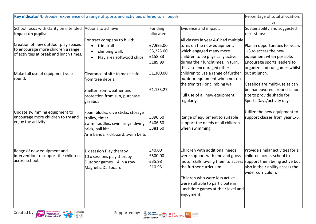| Key indicator 4: Broader experience of a range of sports and activities offered to all pupils                        |                                                                                                                                                 |                                              | Percentage of total allocation:                                                                                                                                                                                                                                                             |                                                                                                                                                      |
|----------------------------------------------------------------------------------------------------------------------|-------------------------------------------------------------------------------------------------------------------------------------------------|----------------------------------------------|---------------------------------------------------------------------------------------------------------------------------------------------------------------------------------------------------------------------------------------------------------------------------------------------|------------------------------------------------------------------------------------------------------------------------------------------------------|
|                                                                                                                      |                                                                                                                                                 |                                              |                                                                                                                                                                                                                                                                                             | %                                                                                                                                                    |
| School focus with clarity on intended Actions to achieve:                                                            |                                                                                                                                                 | Funding                                      | Evidence and impact:                                                                                                                                                                                                                                                                        | Sustainability and suggested                                                                                                                         |
| impact on pupils:                                                                                                    |                                                                                                                                                 | allocated:                                   |                                                                                                                                                                                                                                                                                             | next steps:                                                                                                                                          |
| Creation of new outdoor play spaces<br>to encourage more children a range<br>of activities at break and lunch times. | Contract company to build:<br>trim trail<br>$\bullet$<br>climbing wall.<br>$\bullet$<br>Play area softwood chips<br>$\bullet$                   | £7,995.00<br>£3,225.00<br>£158.33<br>£189.99 | All classes in year 4-6 had multiple<br>turns on the new equipment,<br>which engaged many more<br>children to be physically active<br>during their lunchtimes. In turn,<br>this also encouraged other                                                                                       | Plan in opportunities for years<br>1-3 to access the new<br>equipment when possible.<br>Encourage sports leaders to<br>organize and run games whilst |
| Make full use of equipment year<br>round.                                                                            | Clearance of site to make safe<br>from tree debris.<br>Shelter from weather and<br>protection from sun, purchase<br>gazebos                     | £1,300.00<br>£1,133.27                       | children to use a range of further<br>outdoor equipment when not on<br>the trim trail or climbing wall.<br>Full use of all new equipment<br>regularly.                                                                                                                                      | out at lunch.<br>Gazebos are multi-use as can<br>be maneuvered around school<br>site to provide shade for<br>Sports Days/activity days.              |
| Update swimming equipment to<br>encourage more children to try and<br>enjoy the activity.                            | Foam blocks, dive sticks, storage<br>trolley, timer<br>Swim noodles, swim rings, diving<br>brick, ball kits<br>Arm bands, kickboard, swim belts | £390.50<br>£406.50<br>£381.50                | Range of equipment to suitable<br>support the needs of all children<br>when swimming.                                                                                                                                                                                                       | Utilize the new equipment to<br>support classes from year 1-6.                                                                                       |
| Range of new equipment and<br>intervention to support the children<br>across school.                                 | $\vert$ 1 x session Play therapy<br>$10x$ sessions play therapy<br>Outdoor games $-4$ in a row<br>Magnetic Dartboard                            | £40.00<br>£500.00<br>£35.98<br>£10.95        | Children with additional needs<br>were support with fine and gross<br>motor skills lowing them to access support them being active but<br>the further curriculum.<br>Children who were less active<br>were still able to participate in<br>lunchtime games at their level and<br>enjoyment. | Provide similar activities for all<br>children across school to<br>also in their ability access the<br>wider curriculum.                             |